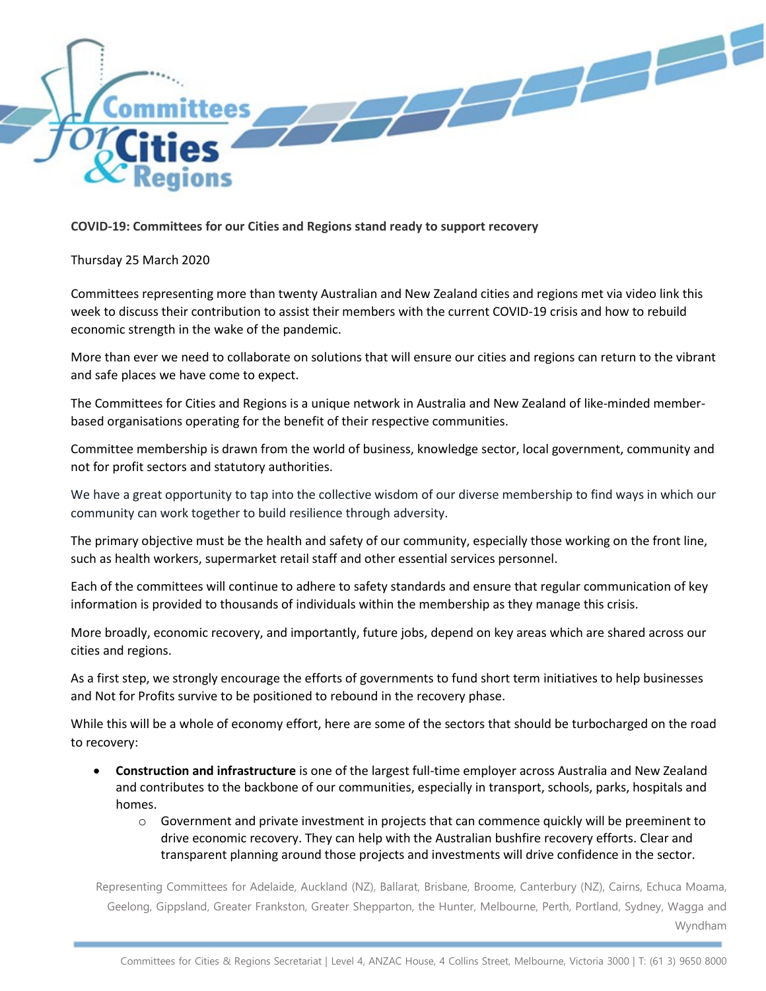

## **COVID-19: Committees for our Cities and Regions stand ready to support recovery**

## Thursday 25 March 2020

Committees representing more than twenty Australian and New Zealand cities and regions met via video link this week to discuss their contribution to assist their members with the current COVID-19 crisis and how to rebuild economic strength in the wake of the pandemic.

More than ever we need to collaborate on solutions that will ensure our cities and regions can return to the vibrant and safe places we have come to expect.

The Committees for Cities and Regions is a unique network in Australia and New Zealand of like-minded memberbased organisations operating for the benefit of their respective communities.

Committee membership is drawn from the world of business, knowledge sector, local government, community and not for profit sectors and statutory authorities.

We have a great opportunity to tap into the collective wisdom of our diverse membership to find ways in which our community can work together to build resilience through adversity.

The primary objective must be the health and safety of our community, especially those working on the front line, such as health workers, supermarket retail staff and other essential services personnel.

Each of the committees will continue to adhere to safety standards and ensure that regular communication of key information is provided to thousands of individuals within the membership as they manage this crisis.

More broadly, economic recovery, and importantly, future jobs, depend on key areas which are shared across our cities and regions.

As a first step, we strongly encourage the efforts of governments to fund short term initiatives to help businesses and Not for Profits survive to be positioned to rebound in the recovery phase.

While this will be a whole of economy effort, here are some of the sectors that should be turbocharged on the road to recovery:

- **Construction and infrastructure** is one of the largest full-time employer across Australia and New Zealand and contributes to the backbone of our communities, especially in transport, schools, parks, hospitals and homes.
	- $\circ$  Government and private investment in projects that can commence quickly will be preeminent to drive economic recovery. They can help with the Australian bushfire recovery efforts. Clear and transparent planning around those projects and investments will drive confidence in the sector.

Representing Committees for Adelaide, Auckland (NZ), Ballarat, Brisbane, Broome, Canterbury (NZ), Cairns, Echuca Moama, Geelong, Gippsland, Greater Frankston, Greater Shepparton, the Hunter, Melbourne, Perth, Portland, Sydney, Wagga and Wyndham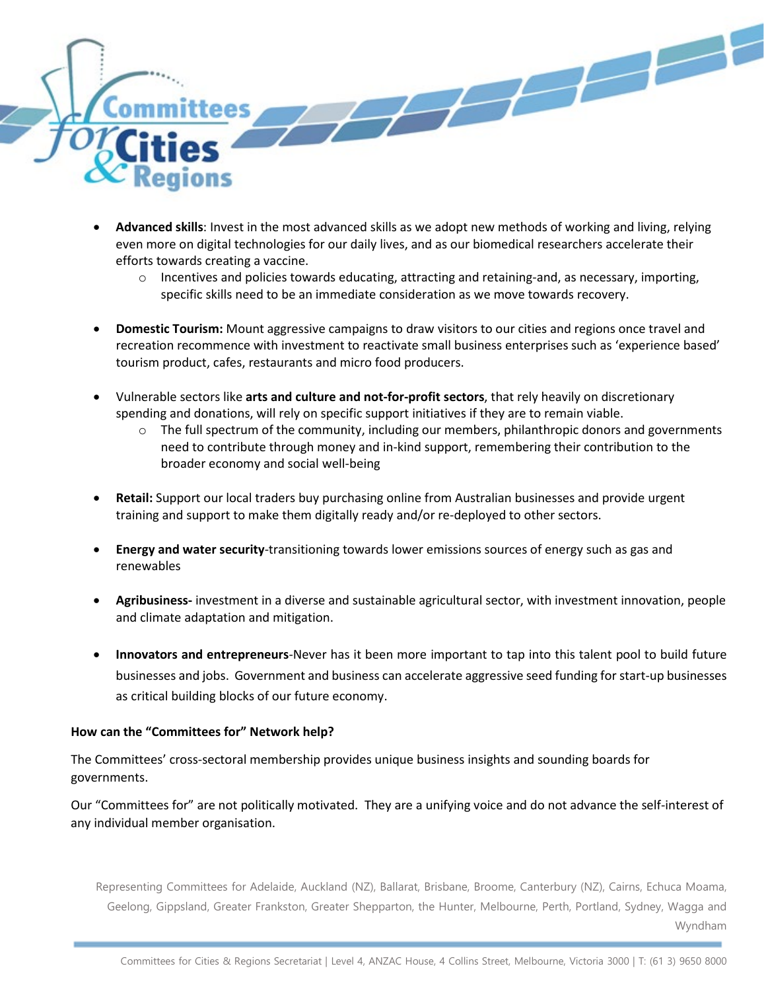

- **Advanced skills**: Invest in the most advanced skills as we adopt new methods of working and living, relying even more on digital technologies for our daily lives, and as our biomedical researchers accelerate their efforts towards creating a vaccine.
	- $\circ$  Incentives and policies towards educating, attracting and retaining-and, as necessary, importing, specific skills need to be an immediate consideration as we move towards recovery.
- **Domestic Tourism:** Mount aggressive campaigns to draw visitors to our cities and regions once travel and recreation recommence with investment to reactivate small business enterprises such as 'experience based' tourism product, cafes, restaurants and micro food producers.
- Vulnerable sectors like **arts and culture and not-for-profit sectors**, that rely heavily on discretionary spending and donations, will rely on specific support initiatives if they are to remain viable.
	- $\circ$  The full spectrum of the community, including our members, philanthropic donors and governments need to contribute through money and in-kind support, remembering their contribution to the broader economy and social well-being
- **Retail:** Support our local traders buy purchasing online from Australian businesses and provide urgent training and support to make them digitally ready and/or re-deployed to other sectors.
- **Energy and water security**-transitioning towards lower emissions sources of energy such as gas and renewables
- **Agribusiness-** investment in a diverse and sustainable agricultural sector, with investment innovation, people and climate adaptation and mitigation.
- **Innovators and entrepreneurs**-Never has it been more important to tap into this talent pool to build future businesses and jobs. Government and business can accelerate aggressive seed funding for start-up businesses as critical building blocks of our future economy.

## **How can the "Committees for" Network help?**

The Committees' cross-sectoral membership provides unique business insights and sounding boards for governments.

Our "Committees for" are not politically motivated. They are a unifying voice and do not advance the self-interest of any individual member organisation.

Representing Committees for Adelaide, Auckland (NZ), Ballarat, Brisbane, Broome, Canterbury (NZ), Cairns, Echuca Moama, Geelong, Gippsland, Greater Frankston, Greater Shepparton, the Hunter, Melbourne, Perth, Portland, Sydney, Wagga and Wyndham